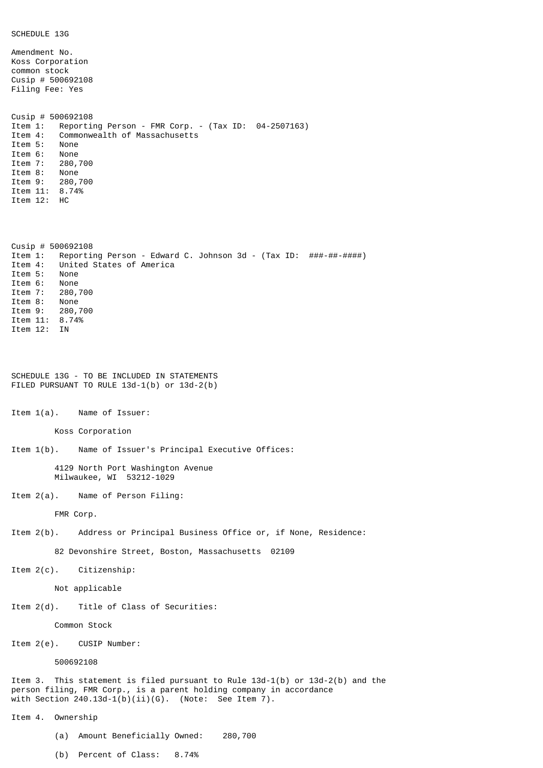| SCHEDULE 13G                                                                                                                                                                                                                                                              |
|---------------------------------------------------------------------------------------------------------------------------------------------------------------------------------------------------------------------------------------------------------------------------|
| Amendment No.<br>Koss Corporation<br>common stock<br>Cusip # $500692108$<br>Filing Fee: Yes                                                                                                                                                                               |
| Cusip # $500692108$<br>Item 1:<br>Reporting Person - FMR Corp. - (Tax ID: 04-2507163)<br>Item 4:<br>Commonwealth of Massachusetts<br>Item 5:<br>None<br>Item 6: None<br>Item 7: 280,700<br>Item 8: None<br>Item 9: 280,700<br>Item 11: 8.74%<br>Item 12: HC               |
| Cusip # $500692108$<br>Reporting Person - Edward C. Johnson 3d - (Tax ID: ###-##-#####)<br>Item 1:<br>United States of America<br>Item 4:<br>Item 5:<br>None<br>Item 6:<br>None<br>Item 7: 280,700<br>Item 8: None<br>Item 9: 280,700<br>Item 11: 8.74%<br>Item 12:<br>ΙN |
| SCHEDULE 13G - TO BE INCLUDED IN STATEMENTS<br>FILED PURSUANT TO RULE 13d-1(b) or 13d-2(b)                                                                                                                                                                                |
| Item $1(a)$ . Name of Issuer:                                                                                                                                                                                                                                             |
| Koss Corporation                                                                                                                                                                                                                                                          |
| Item 1(b). Name of Issuer's Principal Executive Offices:                                                                                                                                                                                                                  |
| 4129 North Port Washington Avenue<br>Milwaukee, WI 53212-1029                                                                                                                                                                                                             |
| Item 2(a). Name of Person Filing:                                                                                                                                                                                                                                         |
| FMR Corp.                                                                                                                                                                                                                                                                 |
| Item 2(b). Address or Principal Business Office or, if None, Residence:                                                                                                                                                                                                   |
| 82 Devonshire Street, Boston, Massachusetts 02109                                                                                                                                                                                                                         |
| Item 2(c). Citizenship:                                                                                                                                                                                                                                                   |
| Not applicable                                                                                                                                                                                                                                                            |
| Item 2(d). Title of Class of Securities:                                                                                                                                                                                                                                  |
| Common Stock                                                                                                                                                                                                                                                              |
| $Item 2(e).$ CUSIP Number:                                                                                                                                                                                                                                                |
| 500692108                                                                                                                                                                                                                                                                 |
| Item 3. This statement is filed pursuant to Rule $13d-1(b)$ or $13d-2(b)$ and the<br>person filing, FMR Corp., is a parent holding company in accordance<br>with Section $240.13d-1(b)(ii)(G)$ . (Note: See Item 7).                                                      |
| Item 4. Ownership                                                                                                                                                                                                                                                         |

- (a) Amount Beneficially Owned: 280,700
- (b) Percent of Class: 8.74%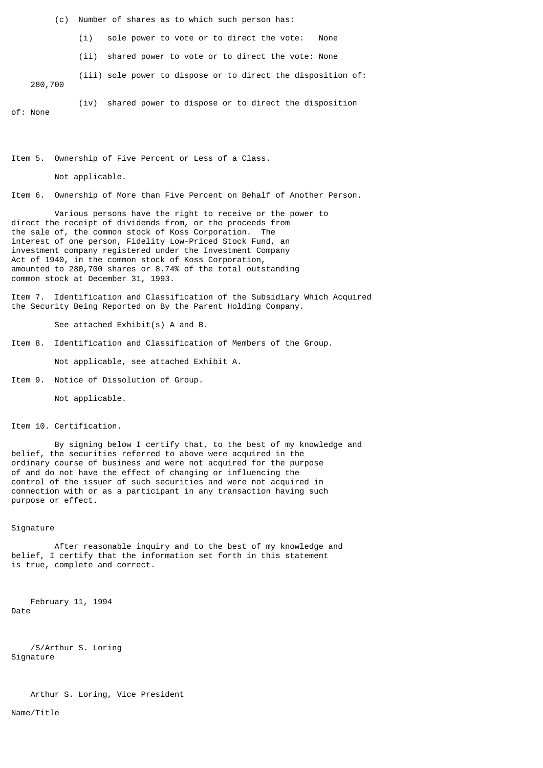(c) Number of shares as to which such person has:

(i) sole power to vote or to direct the vote: None

(ii) shared power to vote or to direct the vote: None

(iii) sole power to dispose or to direct the disposition of:

280,700

(iv) shared power to dispose or to direct the disposition

of: None

Item 5. Ownership of Five Percent or Less of a Class.

Not applicable.

Item 6. Ownership of More than Five Percent on Behalf of Another Person.

 Various persons have the right to receive or the power to direct the receipt of dividends from, or the proceeds from the sale of, the common stock of Koss Corporation. The interest of one person, Fidelity Low-Priced Stock Fund, an investment company registered under the Investment Company Act of 1940, in the common stock of Koss Corporation, amounted to 280,700 shares or 8.74% of the total outstanding common stock at December 31, 1993.

Item 7. Identification and Classification of the Subsidiary Which Acquired the Security Being Reported on By the Parent Holding Company.

See attached Exhibit(s) A and B.

Item 8. Identification and Classification of Members of the Group.

Not applicable, see attached Exhibit A.

Item 9. Notice of Dissolution of Group.

Not applicable.

Item 10. Certification.

 By signing below I certify that, to the best of my knowledge and belief, the securities referred to above were acquired in the ordinary course of business and were not acquired for the purpose of and do not have the effect of changing or influencing the control of the issuer of such securities and were not acquired in connection with or as a participant in any transaction having such purpose or effect.

## Signature

 After reasonable inquiry and to the best of my knowledge and belief, I certify that the information set forth in this statement is true, complete and correct.

 February 11, 1994 Date

 /S/Arthur S. Loring Signature

Arthur S. Loring, Vice President

Name/Title